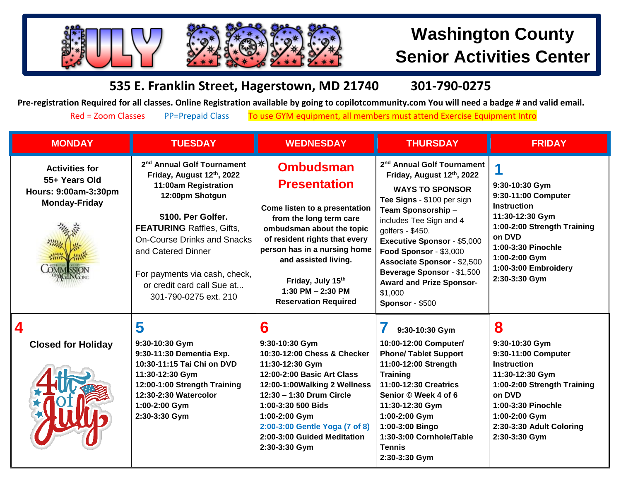

## **Washington County Senior Activities Center**

## **535 E. Franklin Street, Hagerstown, MD 21740 301-790-0275**

**Pre-registration Required for all classes. Online Registration available by going to copilotcommunity.com You will need a badge # and valid email.** 

Red = Zoom Classes PP=Prepaid Class To use GYM equipment, all members must attend Exercise Equipment Intro

| <b>MONDAY</b>                                                                                              | <b>TUESDAY</b>                                                                                                                                                                                                                                                                                                               | <b>WEDNESDAY</b>                                                                                                                                                                                                                                                                                     | <b>THURSDAY</b>                                                                                                                                                                                                                                                                                                                                                                                       | <b>FRIDAY</b>                                                                                                                                                                                                    |
|------------------------------------------------------------------------------------------------------------|------------------------------------------------------------------------------------------------------------------------------------------------------------------------------------------------------------------------------------------------------------------------------------------------------------------------------|------------------------------------------------------------------------------------------------------------------------------------------------------------------------------------------------------------------------------------------------------------------------------------------------------|-------------------------------------------------------------------------------------------------------------------------------------------------------------------------------------------------------------------------------------------------------------------------------------------------------------------------------------------------------------------------------------------------------|------------------------------------------------------------------------------------------------------------------------------------------------------------------------------------------------------------------|
| <b>Activities for</b><br>55+ Years Old<br>Hours: 9:00am-3:30pm<br><b>Monday-Friday</b><br><b>OMMISSION</b> | 2 <sup>nd</sup> Annual Golf Tournament<br>Friday, August 12th, 2022<br>11:00am Registration<br>12:00pm Shotgun<br>\$100. Per Golfer.<br><b>FEATURING Raffles, Gifts,</b><br><b>On-Course Drinks and Snacks</b><br>and Catered Dinner<br>For payments via cash, check,<br>or credit card call Sue at<br>301-790-0275 ext. 210 | <b>Ombudsman</b><br><b>Presentation</b><br>Come listen to a presentation<br>from the long term care<br>ombudsman about the topic<br>of resident rights that every<br>person has in a nursing home<br>and assisted living.<br>Friday, July 15th<br>1:30 PM $- 2:30$ PM<br><b>Reservation Required</b> | 2 <sup>nd</sup> Annual Golf Tournament<br>Friday, August 12th, 2022<br><b>WAYS TO SPONSOR</b><br>Tee Signs - \$100 per sign<br>Team Sponsorship -<br>includes Tee Sign and 4<br>golfers - \$450.<br><b>Executive Sponsor - \$5,000</b><br>Food Sponsor - \$3,000<br><b>Associate Sponsor - \$2,500</b><br>Beverage Sponsor - \$1,500<br><b>Award and Prize Sponsor-</b><br>\$1,000<br>Sponsor - \$500 | 9:30-10:30 Gym<br>9:30-11:00 Computer<br><b>Instruction</b><br>11:30-12:30 Gym<br>1:00-2:00 Strength Training<br>on DVD<br>1:00-3:30 Pinochle<br>1:00-2:00 Gym<br>1:00-3:00 Embroidery<br>2:30-3:30 Gym          |
| 4<br><b>Closed for Holiday</b>                                                                             | 5<br>9:30-10:30 Gym<br>9:30-11:30 Dementia Exp.<br>10:30-11:15 Tai Chi on DVD<br>11:30-12:30 Gym<br>12:00-1:00 Strength Training<br>12:30-2:30 Watercolor<br>1:00-2:00 Gym<br>2:30-3:30 Gym                                                                                                                                  | 6<br>9:30-10:30 Gym<br>10:30-12:00 Chess & Checker<br>11:30-12:30 Gym<br>12:00-2:00 Basic Art Class<br>12:00-1:00Walking 2 Wellness<br>12:30 - 1:30 Drum Circle<br>1:00-3:30 500 Bids<br>1:00-2:00 Gym<br>2:00-3:00 Gentle Yoga (7 of 8)<br>2:00-3:00 Guided Meditation<br>2:30-3:30 Gym             | 9:30-10:30 Gym<br>10:00-12:00 Computer/<br><b>Phone/ Tablet Support</b><br>11:00-12:00 Strength<br><b>Training</b><br>11:00-12:30 Creatrics<br>Senior © Week 4 of 6<br>11:30-12:30 Gym<br>1:00-2:00 Gym<br>1:00-3:00 Bingo<br>1:30-3:00 Cornhole/Table<br><b>Tennis</b><br>2:30-3:30 Gym                                                                                                              | 8<br>9:30-10:30 Gym<br>9:30-11:00 Computer<br><b>Instruction</b><br>11:30-12:30 Gym<br>1:00-2:00 Strength Training<br>on DVD<br>1:00-3:30 Pinochle<br>1:00-2:00 Gym<br>2:30-3:30 Adult Coloring<br>2:30-3:30 Gym |